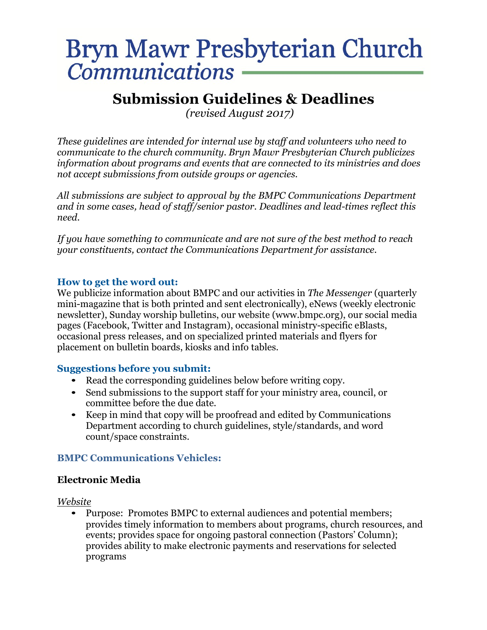# Bryn Mawr Presbyterian Church **Communications**

# **Submission Guidelines & Deadlines**

 *(revised August 2017)*

*These guidelines are intended for internal use by staff and volunteers who need to communicate to the church community. Bryn Mawr Presbyterian Church publicizes information about programs and events that are connected to its ministries and does not accept submissions from outside groups or agencies.*

*All submissions are subject to approval by the BMPC Communications Department and in some cases, head of staff/senior pastor. Deadlines and lead-times reflect this need.*

*If you have something to communicate and are not sure of the best method to reach your constituents, contact the Communications Department for assistance.*

# **How to get the word out:**

We publicize information about BMPC and our activities in *The Messenger* (quarterly mini-magazine that is both printed and sent electronically), eNews (weekly electronic newsletter), Sunday worship bulletins, our website (www.bmpc.org), our social media pages (Facebook, Twitter and Instagram), occasional ministry-specific eBlasts, occasional press releases, and on specialized printed materials and flyers for placement on bulletin boards, kiosks and info tables.

## **Suggestions before you submit:**

- Read the corresponding guidelines below before writing copy.
- Send submissions to the support staff for your ministry area, council, or committee before the due date.
- Keep in mind that copy will be proofread and edited by Communications Department according to church guidelines, style/standards, and word count/space constraints.

# **BMPC Communications Vehicles:**

# **Electronic Media**

*Website*

• Purpose: Promotes BMPC to external audiences and potential members; provides timely information to members about programs, church resources, and events; provides space for ongoing pastoral connection (Pastors' Column); provides ability to make electronic payments and reservations for selected programs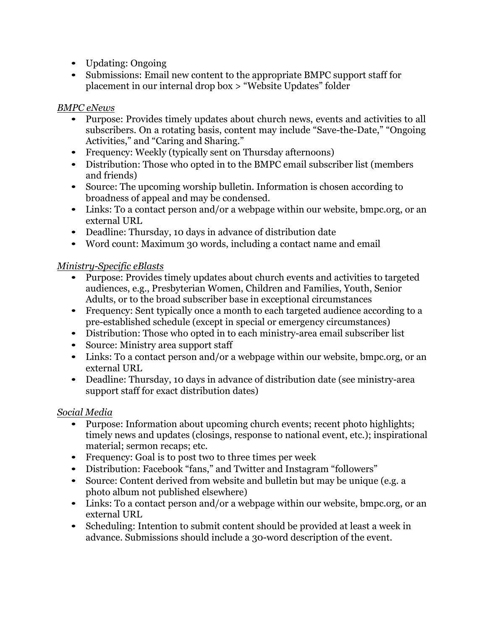- Updating: Ongoing
- Submissions: Email new content to the appropriate BMPC support staff for placement in our internal drop box > "Website Updates" folder

# *BMPC eNews*

- Purpose: Provides timely updates about church news, events and activities to all subscribers. On a rotating basis, content may include "Save-the-Date," "Ongoing Activities," and "Caring and Sharing."
- Frequency: Weekly (typically sent on Thursday afternoons)
- Distribution: Those who opted in to the BMPC email subscriber list (members and friends)
- Source: The upcoming worship bulletin. Information is chosen according to broadness of appeal and may be condensed.
- Links: To a contact person and/or a webpage within our website, bmpc.org, or an external URL
- Deadline: Thursday, 10 days in advance of distribution date
- Word count: Maximum 30 words, including a contact name and email

# *Ministry-Specific eBlasts*

- Purpose: Provides timely updates about church events and activities to targeted audiences, e.g., Presbyterian Women, Children and Families, Youth, Senior Adults, or to the broad subscriber base in exceptional circumstances
- Frequency: Sent typically once a month to each targeted audience according to a pre-established schedule (except in special or emergency circumstances)
- Distribution: Those who opted in to each ministry-area email subscriber list
- Source: Ministry area support staff
- Links: To a contact person and/or a webpage within our website, bmpc.org, or an external URL
- Deadline: Thursday, 10 days in advance of distribution date (see ministry-area support staff for exact distribution dates)

# *Social Media*

- Purpose: Information about upcoming church events; recent photo highlights; timely news and updates (closings, response to national event, etc.); inspirational material; sermon recaps; etc.
- Frequency: Goal is to post two to three times per week
- Distribution: Facebook "fans," and Twitter and Instagram "followers"
- Source: Content derived from website and bulletin but may be unique (e.g. a photo album not published elsewhere)
- Links: To a contact person and/or a webpage within our website, bmpc.org, or an external URL
- Scheduling: Intention to submit content should be provided at least a week in advance. Submissions should include a 30-word description of the event.